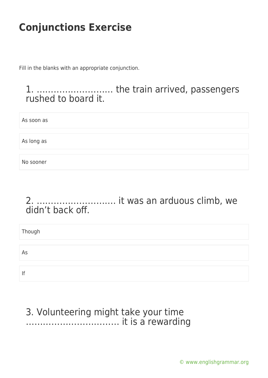Fill in the blanks with an appropriate conjunction.

1. ……………………… the train arrived, passengers rushed to board it.

As soon as

As long as

No sooner

#### 2. ………………………. it was an arduous climb, we didn't back off.

Though As If

#### 3. Volunteering might take your time …………………………… it is a rewarding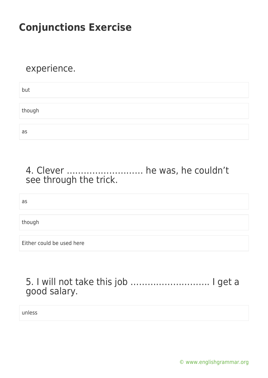### experience.

| but    |  |  |  |
|--------|--|--|--|
|        |  |  |  |
| though |  |  |  |
|        |  |  |  |
| as     |  |  |  |

### 4. Clever ……………………… he was, he couldn't see through the trick.

as

though

Either could be used here

5. I will not take this job ………………………. I get a good salary.

unless

[© www.englishgrammar.org](https://www.englishgrammar.org/)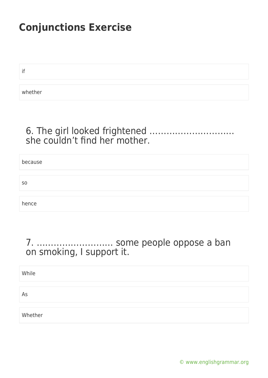if

whether

### 6. The girl looked frightened ………………………… she couldn't find her mother.

| because        |  |
|----------------|--|
|                |  |
| S <sub>0</sub> |  |
|                |  |
| hence          |  |

### 7. ……………………… some people oppose a ban on smoking, I support it.

| While   |  |
|---------|--|
|         |  |
| As      |  |
|         |  |
| Whether |  |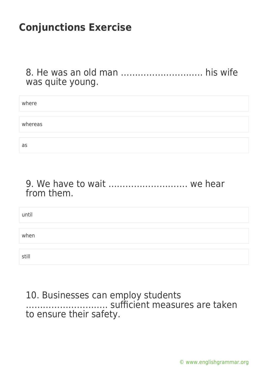8. He was an old man ……………………….. his wife was quite young.

| where   |  |
|---------|--|
|         |  |
| whereas |  |
|         |  |
| as      |  |

#### 9. We have to wait ………………………. we hear from them.

| until |  |
|-------|--|
| when  |  |
| still |  |

#### 10. Businesses can employ students ……………………….. sufficient measures are taken to ensure their safety.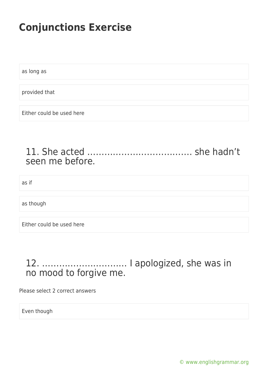as long as

provided that

Either could be used here

#### 11. She acted ………………………………. she hadn't seen me before.

as if

as though

Either could be used here

### 12. ………………………… I apologized, she was in no mood to forgive me.

Please select 2 correct answers

Even though